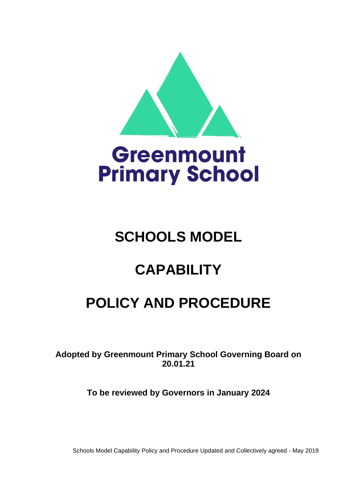



# **SCHOOLS MODEL**

## **CAPABILITY**

## **POLICY AND PROCEDURE**

**Adopted by Greenmount Primary School Governing Board on 20.01.21**

**To be reviewed by Governors in January 2024**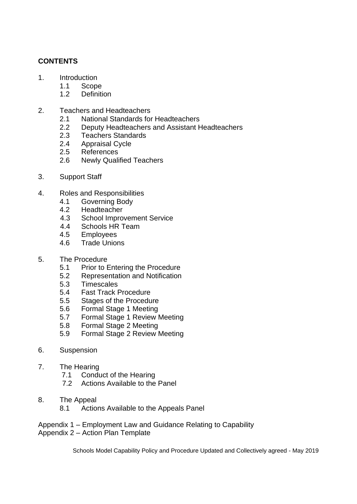### **CONTENTS**

- 1. Introduction
	- 1.1 Scope
	- 1.2 Definition
- 2. Teachers and Headteachers
	- 2.1 National Standards for Headteachers
	- 2.2 Deputy Headteachers and Assistant Headteachers
	- 2.3 Teachers Standards
	- 2.4 Appraisal Cycle
	- 2.5 References
	- 2.6 Newly Qualified Teachers
- 3. Support Staff
- 4. Roles and Responsibilities
	- 4.1 Governing Body
	- 4.2 Headteacher
	- 4.3 School Improvement Service
	- 4.4 Schools HR Team
	- 4.5 Employees
	- 4.6 Trade Unions
- 5. The Procedure
	- 5.1 Prior to Entering the Procedure
	- 5.2 Representation and Notification
	- 5.3 Timescales
	- 5.4 Fast Track Procedure
	- 5.5 Stages of the Procedure
	- 5.6 Formal Stage 1 Meeting
	- 5.7 Formal Stage 1 Review Meeting
	- 5.8 Formal Stage 2 Meeting
	- 5.9 Formal Stage 2 Review Meeting
- 6. Suspension
- 7. The Hearing
	- 7.1 Conduct of the Hearing
	- 7.2 Actions Available to the Panel
- 8. The Appeal
	- 8.1 Actions Available to the Appeals Panel

Appendix 1 – Employment Law and Guidance Relating to Capability Appendix 2 – Action Plan Template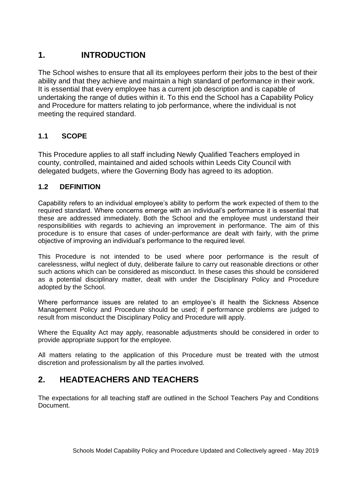### **1. INTRODUCTION**

The School wishes to ensure that all its employees perform their jobs to the best of their ability and that they achieve and maintain a high standard of performance in their work. It is essential that every employee has a current job description and is capable of undertaking the range of duties within it. To this end the School has a Capability Policy and Procedure for matters relating to job performance, where the individual is not meeting the required standard.

### **1.1 SCOPE**

This Procedure applies to all staff including Newly Qualified Teachers employed in county, controlled, maintained and aided schools within Leeds City Council with delegated budgets, where the Governing Body has agreed to its adoption.

### **1.2 DEFINITION**

Capability refers to an individual employee's ability to perform the work expected of them to the required standard. Where concerns emerge with an individual's performance it is essential that these are addressed immediately. Both the School and the employee must understand their responsibilities with regards to achieving an improvement in performance. The aim of this procedure is to ensure that cases of under-performance are dealt with fairly, with the prime objective of improving an individual's performance to the required level.

This Procedure is not intended to be used where poor performance is the result of carelessness, wilful neglect of duty, deliberate failure to carry out reasonable directions or other such actions which can be considered as misconduct. In these cases this should be considered as a potential disciplinary matter, dealt with under the Disciplinary Policy and Procedure adopted by the School.

Where performance issues are related to an employee's ill health the Sickness Absence Management Policy and Procedure should be used; if performance problems are judged to result from misconduct the Disciplinary Policy and Procedure will apply.

Where the Equality Act may apply, reasonable adjustments should be considered in order to provide appropriate support for the employee.

All matters relating to the application of this Procedure must be treated with the utmost discretion and professionalism by all the parties involved.

### **2. HEADTEACHERS AND TEACHERS**

The expectations for all teaching staff are outlined in the School Teachers Pay and Conditions **Document**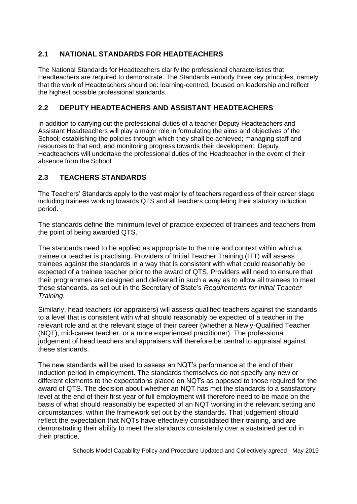### **2.1 NATIONAL STANDARDS FOR HEADTEACHERS**

The National Standards for Headteachers clarify the professional characteristics that Headteachers are required to demonstrate. The Standards embody three key principles, namely that the work of Headteachers should be: learning-centred, focused on leadership and reflect the highest possible professional standards.

### **2.2 DEPUTY HEADTEACHERS AND ASSISTANT HEADTEACHERS**

In addition to carrying out the professional duties of a teacher Deputy Headteachers and Assistant Headteachers will play a major role in formulating the aims and objectives of the School; establishing the policies through which they shall be achieved; managing staff and resources to that end; and monitoring progress towards their development. Deputy Headteachers will undertake the professional duties of the Headteacher in the event of their absence from the School.

### **2.3 TEACHERS STANDARDS**

The Teachers' Standards apply to the vast majority of teachers regardless of their career stage including trainees working towards QTS and all teachers completing their statutory induction period.

The standards define the minimum level of practice expected of trainees and teachers from the point of being awarded QTS.

The standards need to be applied as appropriate to the role and context within which a trainee or teacher is practising. Providers of Initial Teacher Training (ITT) will assess trainees against the standards in a way that is consistent with what could reasonably be expected of a trainee teacher prior to the award of QTS. Providers will need to ensure that their programmes are designed and delivered in such a way as to allow all trainees to meet these standards, as set out in the Secretary of State's *Requirements for Initial Teacher Training*.

Similarly, head teachers (or appraisers) will assess qualified teachers against the standards to a level that is consistent with what should reasonably be expected of a teacher in the relevant role and at the relevant stage of their career (whether a Newly-Qualified Teacher (NQT), mid-career teacher, or a more experienced practitioner). The professional judgement of head teachers and appraisers will therefore be central to appraisal against these standards.

The new standards will be used to assess an NQT's performance at the end of their induction period in employment. The standards themselves do not specify any new or different elements to the expectations placed on NQTs as opposed to those required for the award of QTS. The decision about whether an NQT has met the standards to a satisfactory level at the end of their first year of full employment will therefore need to be made on the basis of what should reasonably be expected of an NQT working in the relevant setting and circumstances, within the framework set out by the standards. That judgement should reflect the expectation that NQTs have effectively consolidated their training, and are demonstrating their ability to meet the standards consistently over a sustained period in their practice.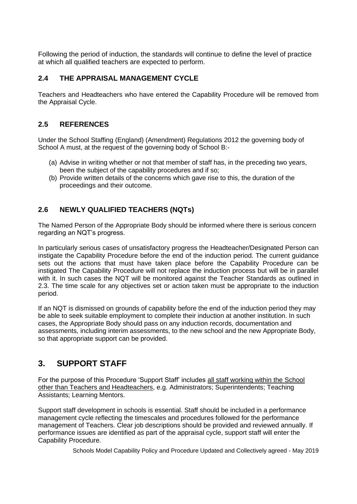Following the period of induction, the standards will continue to define the level of practice at which all qualified teachers are expected to perform.

### **2.4 THE APPRAISAL MANAGEMENT CYCLE**

Teachers and Headteachers who have entered the Capability Procedure will be removed from the Appraisal Cycle.

#### **2.5 REFERENCES**

Under the School Staffing (England) (Amendment) Regulations 2012 the governing body of School A must, at the request of the governing body of School B:-

- (a) Advise in writing whether or not that member of staff has, in the preceding two years, been the subject of the capability procedures and if so;
- (b) Provide written details of the concerns which gave rise to this, the duration of the proceedings and their outcome.

### **2.6 NEWLY QUALIFIED TEACHERS (NQTs)**

The Named Person of the Appropriate Body should be informed where there is serious concern regarding an NQT's progress.

In particularly serious cases of unsatisfactory progress the Headteacher/Designated Person can instigate the Capability Procedure before the end of the induction period. The current guidance sets out the actions that must have taken place before the Capability Procedure can be instigated The Capability Procedure will not replace the induction process but will be in parallel with it. In such cases the NQT will be monitored against the Teacher Standards as outlined in 2.3. The time scale for any objectives set or action taken must be appropriate to the induction period.

If an NQT is dismissed on grounds of capability before the end of the induction period they may be able to seek suitable employment to complete their induction at another institution. In such cases, the Appropriate Body should pass on any induction records, documentation and assessments, including interim assessments, to the new school and the new Appropriate Body, so that appropriate support can be provided.

### **3. SUPPORT STAFF**

For the purpose of this Procedure 'Support Staff' includes all staff working within the School other than Teachers and Headteachers, e.g. Administrators; Superintendents; Teaching Assistants; Learning Mentors.

Support staff development in schools is essential. Staff should be included in a performance management cycle reflecting the timescales and procedures followed for the performance management of Teachers. Clear job descriptions should be provided and reviewed annually. If performance issues are identified as part of the appraisal cycle, support staff will enter the Capability Procedure.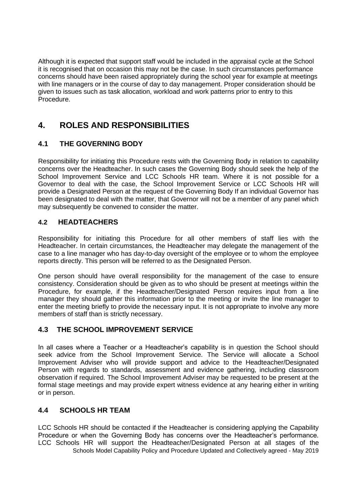Although it is expected that support staff would be included in the appraisal cycle at the School it is recognised that on occasion this may not be the case. In such circumstances performance concerns should have been raised appropriately during the school year for example at meetings with line managers or in the course of day to day management. Proper consideration should be given to issues such as task allocation, workload and work patterns prior to entry to this Procedure.

## **4. ROLES AND RESPONSIBILITIES**

### **4.1 THE GOVERNING BODY**

Responsibility for initiating this Procedure rests with the Governing Body in relation to capability concerns over the Headteacher. In such cases the Governing Body should seek the help of the School Improvement Service and LCC Schools HR team. Where it is not possible for a Governor to deal with the case, the School Improvement Service or LCC Schools HR will provide a Designated Person at the request of the Governing Body If an individual Governor has been designated to deal with the matter, that Governor will not be a member of any panel which may subsequently be convened to consider the matter.

### **4.2 HEADTEACHERS**

Responsibility for initiating this Procedure for all other members of staff lies with the Headteacher. In certain circumstances, the Headteacher may delegate the management of the case to a line manager who has day-to-day oversight of the employee or to whom the employee reports directly. This person will be referred to as the Designated Person.

One person should have overall responsibility for the management of the case to ensure consistency. Consideration should be given as to who should be present at meetings within the Procedure, for example, if the Headteacher/Designated Person requires input from a line manager they should gather this information prior to the meeting or invite the line manager to enter the meeting briefly to provide the necessary input. It is not appropriate to involve any more members of staff than is strictly necessary.

### **4.3 THE SCHOOL IMPROVEMENT SERVICE**

In all cases where a Teacher or a Headteacher's capability is in question the School should seek advice from the School Improvement Service. The Service will allocate a School Improvement Adviser who will provide support and advice to the Headteacher/Designated Person with regards to standards, assessment and evidence gathering, including classroom observation if required. The School Improvement Adviser may be requested to be present at the formal stage meetings and may provide expert witness evidence at any hearing either in writing or in person.

### **4.4 SCHOOLS HR TEAM**

Schools Model Capability Policy and Procedure Updated and Collectively agreed - May 2019 LCC Schools HR should be contacted if the Headteacher is considering applying the Capability Procedure or when the Governing Body has concerns over the Headteacher's performance. LCC Schools HR will support the Headteacher/Designated Person at all stages of the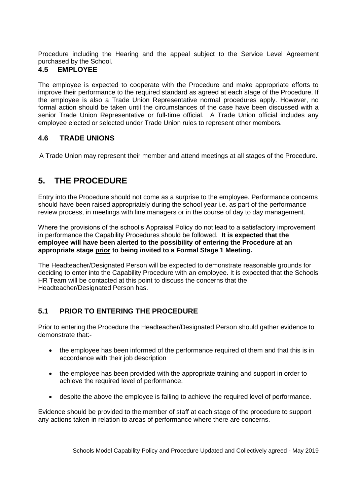Procedure including the Hearing and the appeal subject to the Service Level Agreement purchased by the School.

#### **4.5 EMPLOYEE**

The employee is expected to cooperate with the Procedure and make appropriate efforts to improve their performance to the required standard as agreed at each stage of the Procedure. If the employee is also a Trade Union Representative normal procedures apply. However, no formal action should be taken until the circumstances of the case have been discussed with a senior Trade Union Representative or full-time official. A Trade Union official includes any employee elected or selected under Trade Union rules to represent other members.

### **4.6 TRADE UNIONS**

A Trade Union may represent their member and attend meetings at all stages of the Procedure.

## **5. THE PROCEDURE**

Entry into the Procedure should not come as a surprise to the employee. Performance concerns should have been raised appropriately during the school year i.e. as part of the performance review process, in meetings with line managers or in the course of day to day management.

Where the provisions of the school's Appraisal Policy do not lead to a satisfactory improvement in performance the Capability Procedures should be followed. **It is expected that the employee will have been alerted to the possibility of entering the Procedure at an appropriate stage prior to being invited to a Formal Stage 1 Meeting.**

The Headteacher/Designated Person will be expected to demonstrate reasonable grounds for deciding to enter into the Capability Procedure with an employee. It is expected that the Schools HR Team will be contacted at this point to discuss the concerns that the Headteacher/Designated Person has.

### **5.1 PRIOR TO ENTERING THE PROCEDURE**

Prior to entering the Procedure the Headteacher/Designated Person should gather evidence to demonstrate that:-

- the employee has been informed of the performance required of them and that this is in accordance with their job description
- the employee has been provided with the appropriate training and support in order to achieve the required level of performance.
- despite the above the employee is failing to achieve the required level of performance.

Evidence should be provided to the member of staff at each stage of the procedure to support any actions taken in relation to areas of performance where there are concerns.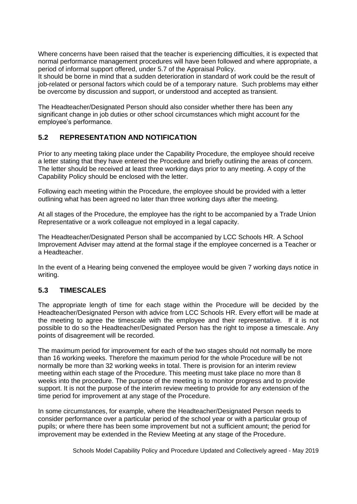Where concerns have been raised that the teacher is experiencing difficulties, it is expected that normal performance management procedures will have been followed and where appropriate, a period of informal support offered, under 5.7 of the Appraisal Policy.

It should be borne in mind that a sudden deterioration in standard of work could be the result of job-related or personal factors which could be of a temporary nature. Such problems may either be overcome by discussion and support, or understood and accepted as transient.

The Headteacher/Designated Person should also consider whether there has been any significant change in job duties or other school circumstances which might account for the employee's performance.

### **5.2 REPRESENTATION AND NOTIFICATION**

Prior to any meeting taking place under the Capability Procedure, the employee should receive a letter stating that they have entered the Procedure and briefly outlining the areas of concern. The letter should be received at least three working days prior to any meeting. A copy of the Capability Policy should be enclosed with the letter.

Following each meeting within the Procedure, the employee should be provided with a letter outlining what has been agreed no later than three working days after the meeting.

At all stages of the Procedure, the employee has the right to be accompanied by a Trade Union Representative or a work colleague not emploved in a legal capacity.

The Headteacher/Designated Person shall be accompanied by LCC Schools HR. A School Improvement Adviser may attend at the formal stage if the employee concerned is a Teacher or a Headteacher.

In the event of a Hearing being convened the employee would be given 7 working days notice in writing.

### **5.3 TIMESCALES**

The appropriate length of time for each stage within the Procedure will be decided by the Headteacher/Designated Person with advice from LCC Schools HR. Every effort will be made at the meeting to agree the timescale with the employee and their representative. If it is not possible to do so the Headteacher/Designated Person has the right to impose a timescale. Any points of disagreement will be recorded.

The maximum period for improvement for each of the two stages should not normally be more than 16 working weeks. Therefore the maximum period for the whole Procedure will be not normally be more than 32 working weeks in total. There is provision for an interim review meeting within each stage of the Procedure. This meeting must take place no more than 8 weeks into the procedure. The purpose of the meeting is to monitor progress and to provide support. It is not the purpose of the interim review meeting to provide for any extension of the time period for improvement at any stage of the Procedure.

In some circumstances, for example, where the Headteacher/Designated Person needs to consider performance over a particular period of the school year or with a particular group of pupils; or where there has been some improvement but not a sufficient amount; the period for improvement may be extended in the Review Meeting at any stage of the Procedure.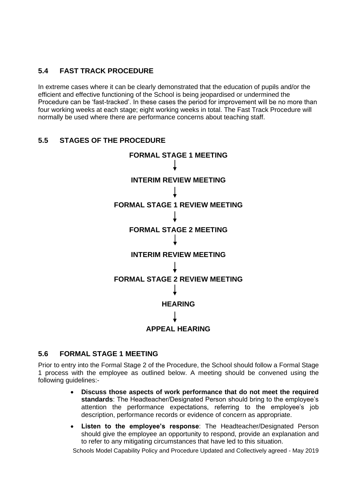### **5.4 FAST TRACK PROCEDURE**

In extreme cases where it can be clearly demonstrated that the education of pupils and/or the efficient and effective functioning of the School is being jeopardised or undermined the Procedure can be 'fast-tracked'. In these cases the period for improvement will be no more than four working weeks at each stage; eight working weeks in total. The Fast Track Procedure will normally be used where there are performance concerns about teaching staff.

### **5.5 STAGES OF THE PROCEDURE**



#### **5.6 FORMAL STAGE 1 MEETING**

Prior to entry into the Formal Stage 2 of the Procedure, the School should follow a Formal Stage 1 process with the employee as outlined below. A meeting should be convened using the following guidelines:-

- **Discuss those aspects of work performance that do not meet the required standards**: The Headteacher/Designated Person should bring to the employee's attention the performance expectations, referring to the employee's job description, performance records or evidence of concern as appropriate.
- **Listen to the employee's response**: The Headteacher/Designated Person should give the employee an opportunity to respond, provide an explanation and to refer to any mitigating circumstances that have led to this situation.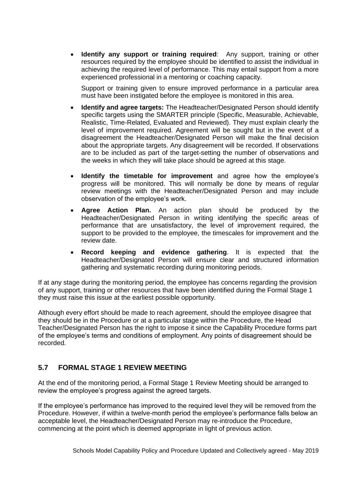**Identify any support or training required:** Any support, training or other resources required by the employee should be identified to assist the individual in achieving the required level of performance. This may entail support from a more experienced professional in a mentoring or coaching capacity.

Support or training given to ensure improved performance in a particular area must have been instigated before the employee is monitored in this area.

- **Identify and agree targets:** The Headteacher/Designated Person should identify specific targets using the SMARTER principle (Specific, Measurable, Achievable, Realistic, Time-Related, Evaluated and Reviewed). They must explain clearly the level of improvement required. Agreement will be sought but in the event of a disagreement the Headteacher/Designated Person will make the final decision about the appropriate targets. Any disagreement will be recorded. If observations are to be included as part of the target-setting the number of observations and the weeks in which they will take place should be agreed at this stage.
- **Identify the timetable for improvement** and agree how the employee's progress will be monitored. This will normally be done by means of regular review meetings with the Headteacher/Designated Person and may include observation of the employee's work.
- **Agree Action Plan.** An action plan should be produced by the Headteacher/Designated Person in writing identifying the specific areas of performance that are unsatisfactory, the level of improvement required, the support to be provided to the employee, the timescales for improvement and the review date.
- **Record keeping and evidence gathering**. It is expected that the Headteacher/Designated Person will ensure clear and structured information gathering and systematic recording during monitoring periods.

If at any stage during the monitoring period, the employee has concerns regarding the provision of any support, training or other resources that have been identified during the Formal Stage 1 they must raise this issue at the earliest possible opportunity.

Although every effort should be made to reach agreement, should the employee disagree that they should be in the Procedure or at a particular stage within the Procedure, the Head Teacher/Designated Person has the right to impose it since the Capability Procedure forms part of the employee's terms and conditions of employment. Any points of disagreement should be recorded.

### **5.7 FORMAL STAGE 1 REVIEW MEETING**

At the end of the monitoring period, a Formal Stage 1 Review Meeting should be arranged to review the employee's progress against the agreed targets.

If the employee's performance has improved to the required level they will be removed from the Procedure. However, if within a twelve-month period the employee's performance falls below an acceptable level, the Headteacher/Designated Person may re-introduce the Procedure, commencing at the point which is deemed appropriate in light of previous action.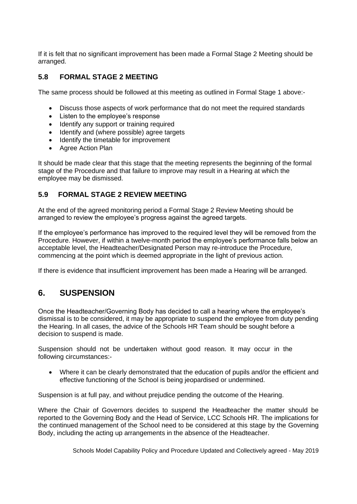If it is felt that no significant improvement has been made a Formal Stage 2 Meeting should be arranged.

#### **5.8 FORMAL STAGE 2 MEETING**

The same process should be followed at this meeting as outlined in Formal Stage 1 above:-

- Discuss those aspects of work performance that do not meet the required standards
- Listen to the employee's response
- Identify any support or training required
- Identify and (where possible) agree targets
- Identify the timetable for improvement
- Agree Action Plan

It should be made clear that this stage that the meeting represents the beginning of the formal stage of the Procedure and that failure to improve may result in a Hearing at which the employee may be dismissed.

#### **5.9 FORMAL STAGE 2 REVIEW MEETING**

At the end of the agreed monitoring period a Formal Stage 2 Review Meeting should be arranged to review the employee's progress against the agreed targets.

If the employee's performance has improved to the required level they will be removed from the Procedure. However, if within a twelve-month period the employee's performance falls below an acceptable level, the Headteacher/Designated Person may re-introduce the Procedure, commencing at the point which is deemed appropriate in the light of previous action.

If there is evidence that insufficient improvement has been made a Hearing will be arranged.

### **6. SUSPENSION**

Once the Headteacher/Governing Body has decided to call a hearing where the employee's dismissal is to be considered, it may be appropriate to suspend the employee from duty pending the Hearing. In all cases, the advice of the Schools HR Team should be sought before a decision to suspend is made.

Suspension should not be undertaken without good reason. It may occur in the following circumstances:-

• Where it can be clearly demonstrated that the education of pupils and/or the efficient and effective functioning of the School is being jeopardised or undermined.

Suspension is at full pay, and without prejudice pending the outcome of the Hearing.

Where the Chair of Governors decides to suspend the Headteacher the matter should be reported to the Governing Body and the Head of Service, LCC Schools HR. The implications for the continued management of the School need to be considered at this stage by the Governing Body, including the acting up arrangements in the absence of the Headteacher.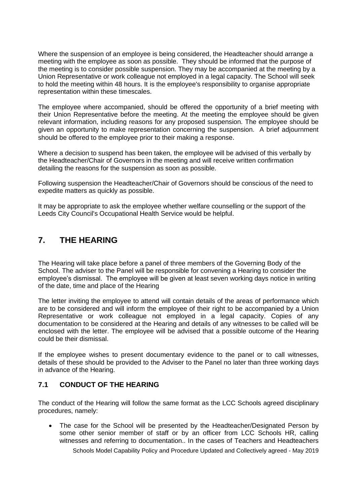Where the suspension of an employee is being considered, the Headteacher should arrange a meeting with the employee as soon as possible. They should be informed that the purpose of the meeting is to consider possible suspension. They may be accompanied at the meeting by a Union Representative or work colleague not employed in a legal capacity. The School will seek to hold the meeting within 48 hours. It is the employee's responsibility to organise appropriate representation within these timescales.

The employee where accompanied, should be offered the opportunity of a brief meeting with their Union Representative before the meeting. At the meeting the employee should be given relevant information, including reasons for any proposed suspension. The employee should be given an opportunity to make representation concerning the suspension. A brief adjournment should be offered to the employee prior to their making a response.

Where a decision to suspend has been taken, the employee will be advised of this verbally by the Headteacher/Chair of Governors in the meeting and will receive written confirmation detailing the reasons for the suspension as soon as possible.

Following suspension the Headteacher/Chair of Governors should be conscious of the need to expedite matters as quickly as possible.

It may be appropriate to ask the employee whether welfare counselling or the support of the Leeds City Council's Occupational Health Service would be helpful.

### **7. THE HEARING**

The Hearing will take place before a panel of three members of the Governing Body of the School. The adviser to the Panel will be responsible for convening a Hearing to consider the employee's dismissal. The employee will be given at least seven working days notice in writing of the date, time and place of the Hearing

The letter inviting the employee to attend will contain details of the areas of performance which are to be considered and will inform the employee of their right to be accompanied by a Union Representative or work colleague not employed in a legal capacity. Copies of any documentation to be considered at the Hearing and details of any witnesses to be called will be enclosed with the letter. The employee will be advised that a possible outcome of the Hearing could be their dismissal.

If the employee wishes to present documentary evidence to the panel or to call witnesses, details of these should be provided to the Adviser to the Panel no later than three working days in advance of the Hearing.

### **7.1 CONDUCT OF THE HEARING**

The conduct of the Hearing will follow the same format as the LCC Schools agreed disciplinary procedures, namely:

• The case for the School will be presented by the Headteacher/Designated Person by some other senior member of staff or by an officer from LCC Schools HR, calling witnesses and referring to documentation.. In the cases of Teachers and Headteachers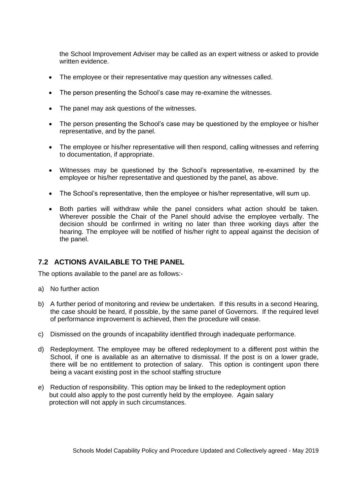the School Improvement Adviser may be called as an expert witness or asked to provide written evidence.

- The employee or their representative may question any witnesses called.
- The person presenting the School's case may re-examine the witnesses.
- The panel may ask questions of the witnesses.
- The person presenting the School's case may be questioned by the employee or his/her representative, and by the panel.
- The employee or his/her representative will then respond, calling witnesses and referring to documentation, if appropriate.
- Witnesses may be questioned by the School's representative, re-examined by the employee or his/her representative and questioned by the panel, as above.
- The School's representative, then the employee or his/her representative, will sum up.
- Both parties will withdraw while the panel considers what action should be taken. Wherever possible the Chair of the Panel should advise the employee verbally. The decision should be confirmed in writing no later than three working days after the hearing. The employee will be notified of his/her right to appeal against the decision of the panel.

#### **7.2 ACTIONS AVAILABLE TO THE PANEL**

The options available to the panel are as follows:-

- a) No further action
- b) A further period of monitoring and review be undertaken. If this results in a second Hearing, the case should be heard, if possible, by the same panel of Governors. If the required level of performance improvement is achieved, then the procedure will cease.
- c) Dismissed on the grounds of incapability identified through inadequate performance.
- d) Redeployment. The employee may be offered redeployment to a different post within the School, if one is available as an alternative to dismissal. If the post is on a lower grade, there will be no entitlement to protection of salary. This option is contingent upon there being a vacant existing post in the school staffing structure
- e) Reduction of responsibility. This option may be linked to the redeployment option but could also apply to the post currently held by the employee. Again salary protection will not apply in such circumstances.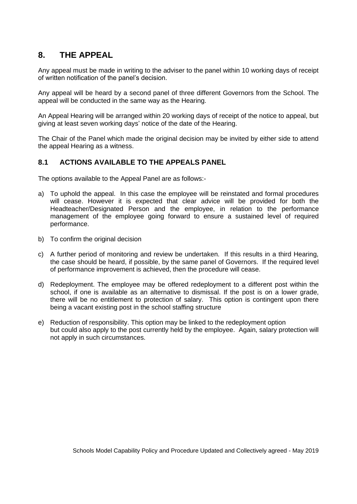### **8. THE APPEAL**

Any appeal must be made in writing to the adviser to the panel within 10 working days of receipt of written notification of the panel's decision.

Any appeal will be heard by a second panel of three different Governors from the School. The appeal will be conducted in the same way as the Hearing.

An Appeal Hearing will be arranged within 20 working days of receipt of the notice to appeal, but giving at least seven working days' notice of the date of the Hearing.

The Chair of the Panel which made the original decision may be invited by either side to attend the appeal Hearing as a witness.

#### **8.1 ACTIONS AVAILABLE TO THE APPEALS PANEL**

The options available to the Appeal Panel are as follows:-

- a) To uphold the appeal. In this case the employee will be reinstated and formal procedures will cease. However it is expected that clear advice will be provided for both the Headteacher/Designated Person and the employee, in relation to the performance management of the employee going forward to ensure a sustained level of required performance.
- b) To confirm the original decision
- c) A further period of monitoring and review be undertaken. If this results in a third Hearing, the case should be heard, if possible, by the same panel of Governors. If the required level of performance improvement is achieved, then the procedure will cease.
- d) Redeployment. The employee may be offered redeployment to a different post within the school, if one is available as an alternative to dismissal. If the post is on a lower grade, there will be no entitlement to protection of salary. This option is contingent upon there being a vacant existing post in the school staffing structure
- e) Reduction of responsibility. This option may be linked to the redeployment option but could also apply to the post currently held by the employee. Again, salary protection will not apply in such circumstances.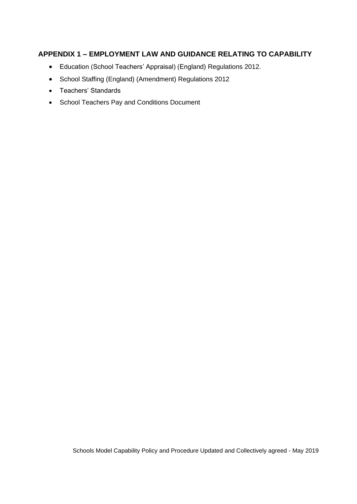### **APPENDIX 1 – EMPLOYMENT LAW AND GUIDANCE RELATING TO CAPABILITY**

- Education (School Teachers' Appraisal) (England) Regulations 2012.
- School Staffing (England) (Amendment) Regulations 2012
- Teachers' Standards
- School Teachers Pay and Conditions Document